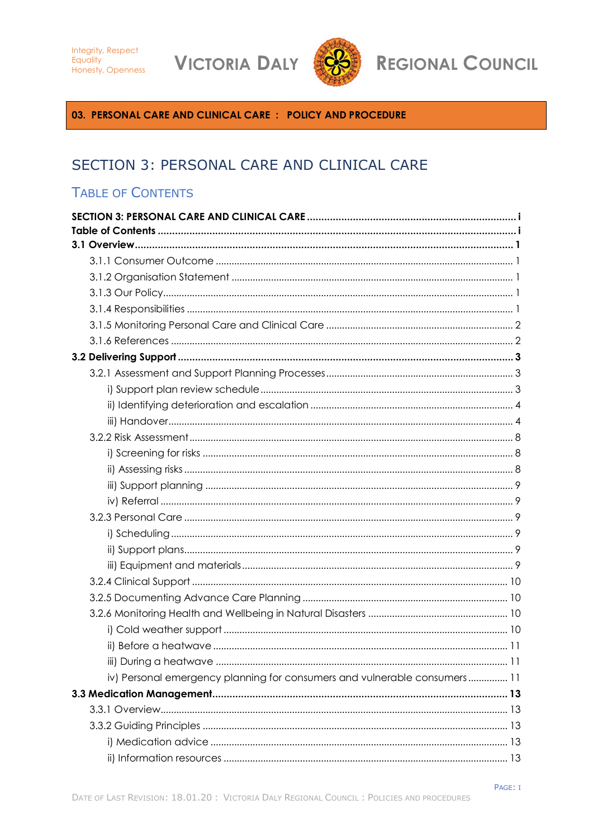**VICTORIA DALY** 



**REGIONAL COUNCIL** 

<span id="page-0-0"></span>03. PERSONAL CARE AND CLINICAL CARE : POLICY AND PROCEDURE

# SECTION 3: PERSONAL CARE AND CLINICAL CARE

## <span id="page-0-1"></span>**TABLE OF CONTENTS**

| iv) Personal emergency planning for consumers and vulnerable consumers 11 |
|---------------------------------------------------------------------------|
|                                                                           |
|                                                                           |
|                                                                           |
|                                                                           |
|                                                                           |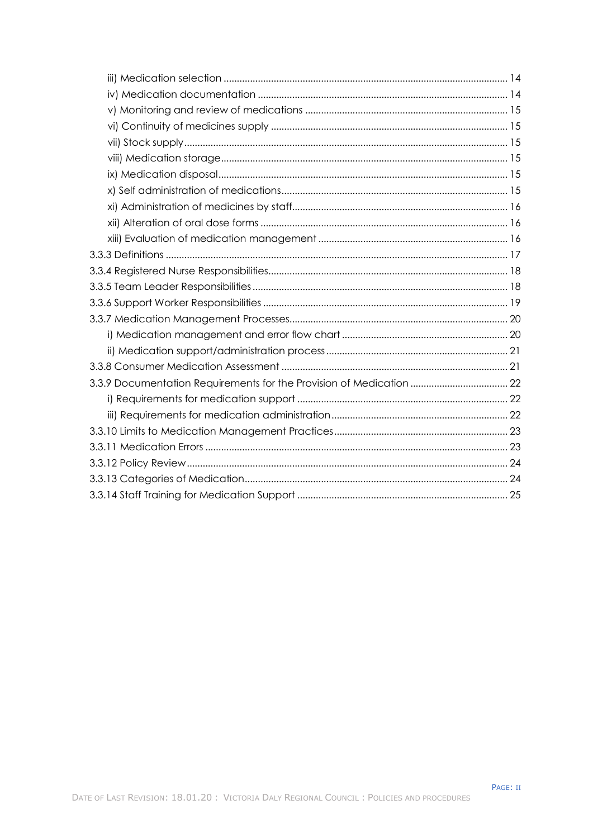| 3.3.9 Documentation Requirements for the Provision of Medication  22 |
|----------------------------------------------------------------------|
|                                                                      |
|                                                                      |
|                                                                      |
|                                                                      |
|                                                                      |
|                                                                      |
|                                                                      |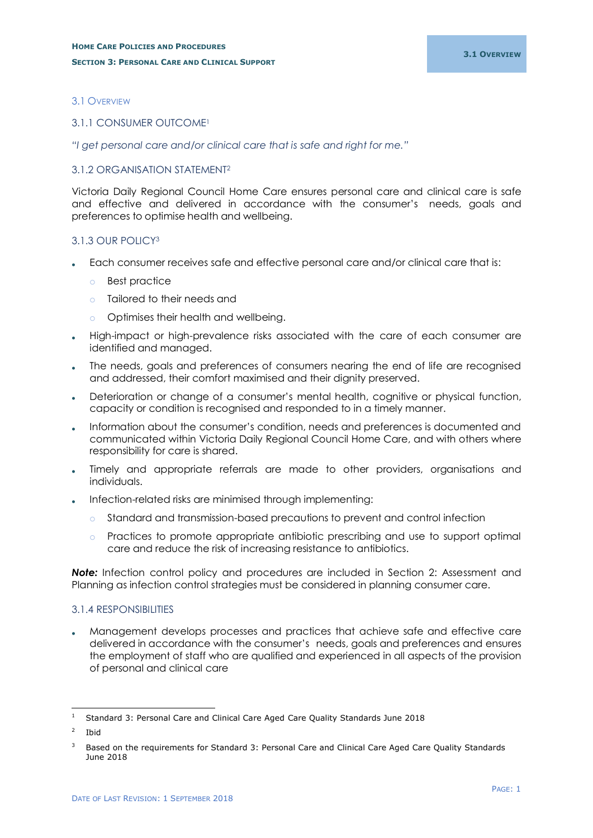## <span id="page-2-0"></span>3.1 OVERVIEW

#### <span id="page-2-1"></span>3.1.1 CONSUMER OUTCOME<sup>1</sup>

*"I get personal care and/or clinical care that is safe and right for me."*

## <span id="page-2-2"></span>3.1.2 ORGANISATION STATEMENT<sup>2</sup>

Victoria Daily Regional Council Home Care ensures personal care and clinical care is safe and effective and delivered in accordance with the consumer's needs, goals and preferences to optimise health and wellbeing.

## <span id="page-2-3"></span>3.1.3 OUR POLICY<sup>3</sup>

- Each consumer receives safe and effective personal care and/or clinical care that is:
	- o Best practice
	- o Tailored to their needs and
	- o Optimises their health and wellbeing.
- High-impact or high-prevalence risks associated with the care of each consumer are identified and managed.
- The needs, goals and preferences of consumers nearing the end of life are recognised and addressed, their comfort maximised and their dignity preserved.
- Deterioration or change of a consumer's mental health, cognitive or physical function, capacity or condition is recognised and responded to in a timely manner.
- Information about the consumer's condition, needs and preferences is documented and communicated within Victoria Daily Regional Council Home Care, and with others where responsibility for care is shared.
- Timely and appropriate referrals are made to other providers, organisations and individuals.
- Infection-related risks are minimised through implementing:
	- o Standard and transmission-based precautions to prevent and control infection
	- o Practices to promote appropriate antibiotic prescribing and use to support optimal care and reduce the risk of increasing resistance to antibiotics.

**Note:** Infection control policy and procedures are included in Section 2: Assessment and Planning as infection control strategies must be considered in planning consumer care.

#### <span id="page-2-4"></span>3.1.4 RESPONSIBILITIES

 Management develops processes and practices that achieve safe and effective care delivered in accordance with the consumer's needs, goals and preferences and ensures the employment of staff who are qualified and experienced in all aspects of the provision of personal and clinical care

<sup>-</sup><sup>1</sup> Standard 3: Personal Care and Clinical Care Aged Care Quality Standards June 2018

 $\overline{2}$ Ibid

<sup>&</sup>lt;sup>3</sup> Based on the requirements for Standard 3: Personal Care and Clinical Care Aged Care Quality Standards June 2018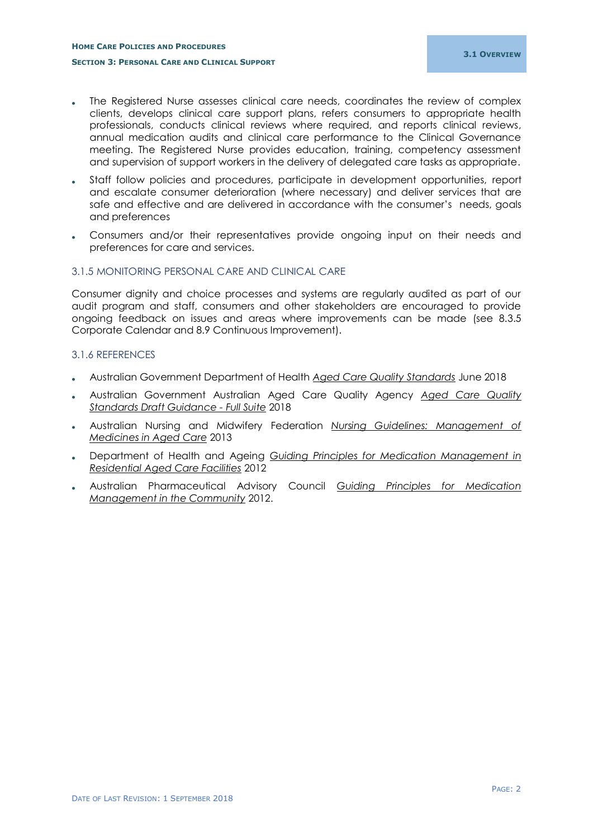- The Registered Nurse assesses clinical care needs, coordinates the review of complex clients, develops clinical care support plans, refers consumers to appropriate health professionals, conducts clinical reviews where required, and reports clinical reviews, annual medication audits and clinical care performance to the Clinical Governance meeting. The Registered Nurse provides education, training, competency assessment and supervision of support workers in the delivery of delegated care tasks as appropriate.
- Staff follow policies and procedures, participate in development opportunities, report and escalate consumer deterioration (where necessary) and deliver services that are safe and effective and are delivered in accordance with the consumer's needs, goals and preferences
- Consumers and/or their representatives provide ongoing input on their needs and preferences for care and services.

#### <span id="page-3-0"></span>3.1.5 MONITORING PERSONAL CARE AND CLINICAL CARE

Consumer dignity and choice processes and systems are regularly audited as part of our audit program and staff, consumers and other stakeholders are encouraged to provide ongoing feedback on issues and areas where improvements can be made (see 8.3.5 Corporate Calendar and 8.9 Continuous Improvement).

#### <span id="page-3-1"></span>3.1.6 REFERENCES

- Australian Government Department of Health *Aged Care Quality Standards* June 2018
- Australian Government Australian Aged Care Quality Agency *Aged Care Quality Standards Draft Guidance - Full Suite* 2018
- Australian Nursing and Midwifery Federation *Nursing Guidelines: Management of Medicines in Aged Care* 2013
- Department of Health and Ageing *Guiding Principles for Medication Management in Residential Aged Care Facilities* 2012
- Australian Pharmaceutical Advisory Council *Guiding Principles for Medication Management in the Community* 2012.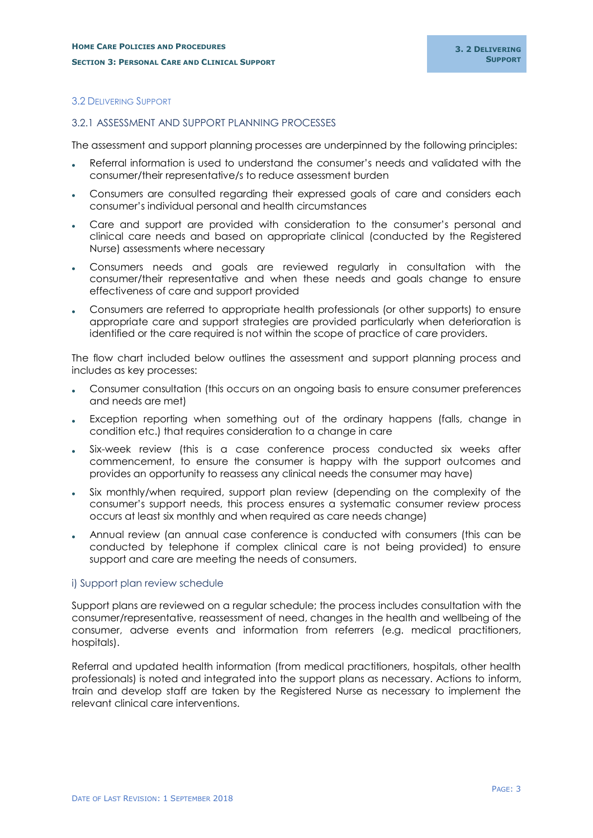#### <span id="page-4-0"></span>3.2 DELIVERING SUPPORT

#### <span id="page-4-1"></span>3.2.1 ASSESSMENT AND SUPPORT PLANNING PROCESSES

The assessment and support planning processes are underpinned by the following principles:

- Referral information is used to understand the consumer's needs and validated with the consumer/their representative/s to reduce assessment burden
- . Consumers are consulted regarding their expressed goals of care and considers each consumer's individual personal and health circumstances
- Care and support are provided with consideration to the consumer's personal and clinical care needs and based on appropriate clinical (conducted by the Registered Nurse) assessments where necessary
- Consumers needs and goals are reviewed regularly in consultation with the consumer/their representative and when these needs and goals change to ensure effectiveness of care and support provided
- Consumers are referred to appropriate health professionals (or other supports) to ensure appropriate care and support strategies are provided particularly when deterioration is identified or the care required is not within the scope of practice of care providers.

The flow chart included below outlines the assessment and support planning process and includes as key processes:

- Consumer consultation (this occurs on an ongoing basis to ensure consumer preferences and needs are met)
- Exception reporting when something out of the ordinary happens (falls, change in condition etc.) that requires consideration to a change in care
- Six-week review (this is a case conference process conducted six weeks after commencement, to ensure the consumer is happy with the support outcomes and provides an opportunity to reassess any clinical needs the consumer may have)
- Six monthly/when required, support plan review (depending on the complexity of the consumer's support needs, this process ensures a systematic consumer review process occurs at least six monthly and when required as care needs change)
- Annual review (an annual case conference is conducted with consumers (this can be conducted by telephone if complex clinical care is not being provided) to ensure support and care are meeting the needs of consumers.

#### <span id="page-4-2"></span>i) Support plan review schedule

Support plans are reviewed on a regular schedule; the process includes consultation with the consumer/representative, reassessment of need, changes in the health and wellbeing of the consumer, adverse events and information from referrers (e.g. medical practitioners, hospitals).

Referral and updated health information (from medical practitioners, hospitals, other health professionals) is noted and integrated into the support plans as necessary. Actions to inform, train and develop staff are taken by the Registered Nurse as necessary to implement the relevant clinical care interventions.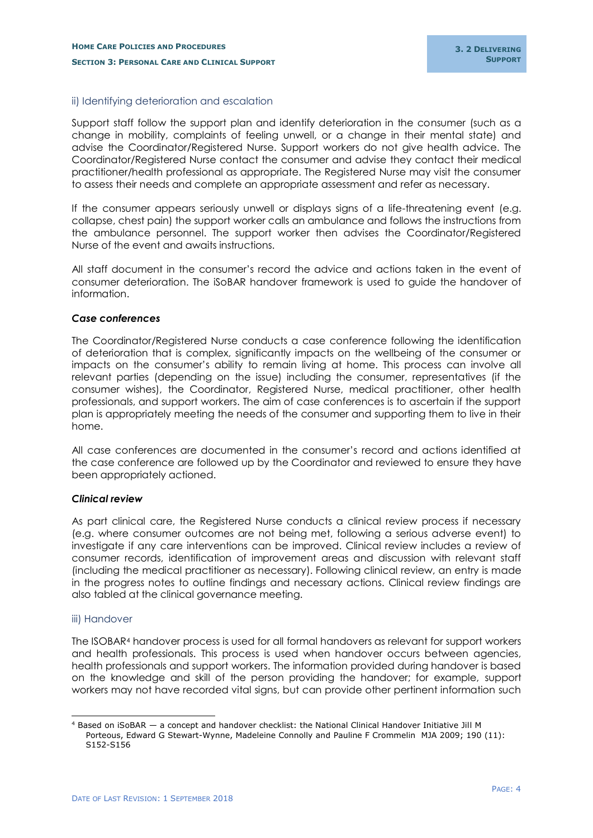## <span id="page-5-0"></span>ii) Identifying deterioration and escalation

Support staff follow the support plan and identify deterioration in the consumer (such as a change in mobility, complaints of feeling unwell, or a change in their mental state) and advise the Coordinator/Registered Nurse. Support workers do not give health advice. The Coordinator/Registered Nurse contact the consumer and advise they contact their medical practitioner/health professional as appropriate. The Registered Nurse may visit the consumer to assess their needs and complete an appropriate assessment and refer as necessary.

If the consumer appears seriously unwell or displays signs of a life-threatening event (e.g. collapse, chest pain) the support worker calls an ambulance and follows the instructions from the ambulance personnel. The support worker then advises the Coordinator/Registered Nurse of the event and awaits instructions.

All staff document in the consumer's record the advice and actions taken in the event of consumer deterioration. The iSoBAR handover framework is used to guide the handover of information.

#### *Case conferences*

The Coordinator/Registered Nurse conducts a case conference following the identification of deterioration that is complex, significantly impacts on the wellbeing of the consumer or impacts on the consumer's ability to remain living at home. This process can involve all relevant parties (depending on the issue) including the consumer, representatives (if the consumer wishes), the Coordinator, Registered Nurse, medical practitioner, other health professionals, and support workers. The aim of case conferences is to ascertain if the support plan is appropriately meeting the needs of the consumer and supporting them to live in their home.

All case conferences are documented in the consumer's record and actions identified at the case conference are followed up by the Coordinator and reviewed to ensure they have been appropriately actioned.

#### *Clinical review*

As part clinical care, the Registered Nurse conducts a clinical review process if necessary (e.g. where consumer outcomes are not being met, following a serious adverse event) to investigate if any care interventions can be improved. Clinical review includes a review of consumer records, identification of improvement areas and discussion with relevant staff (including the medical practitioner as necessary). Following clinical review, an entry is made in the progress notes to outline findings and necessary actions. Clinical review findings are also tabled at the clinical governance meeting.

#### <span id="page-5-1"></span>iii) Handover

-

The ISOBAR<sup>4</sup> handover process is used for all formal handovers as relevant for support workers and health professionals. This process is used when handover occurs between agencies, health professionals and support workers. The information provided during handover is based on the knowledge and skill of the person providing the handover; for example, support workers may not have recorded vital signs, but can provide other pertinent information such

<sup>4</sup> Based on iSoBAR — a concept and handover checklist: the National Clinical Handover Initiative Jill M Porteous, Edward G Stewart-Wynne, Madeleine Connolly and Pauline F Crommelin MJA 2009; 190 (11): S152-S156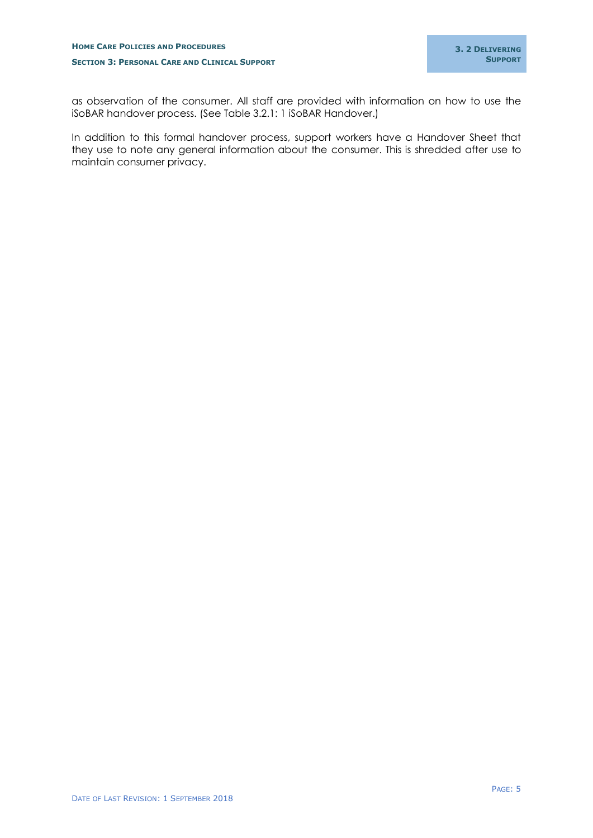as observation of the consumer. All staff are provided with information on how to use the iSoBAR handover process. (See Table 3.2.1: 1 iSoBAR Handover.)

In addition to this formal handover process, support workers have a Handover Sheet that they use to note any general information about the consumer. This is shredded after use to maintain consumer privacy.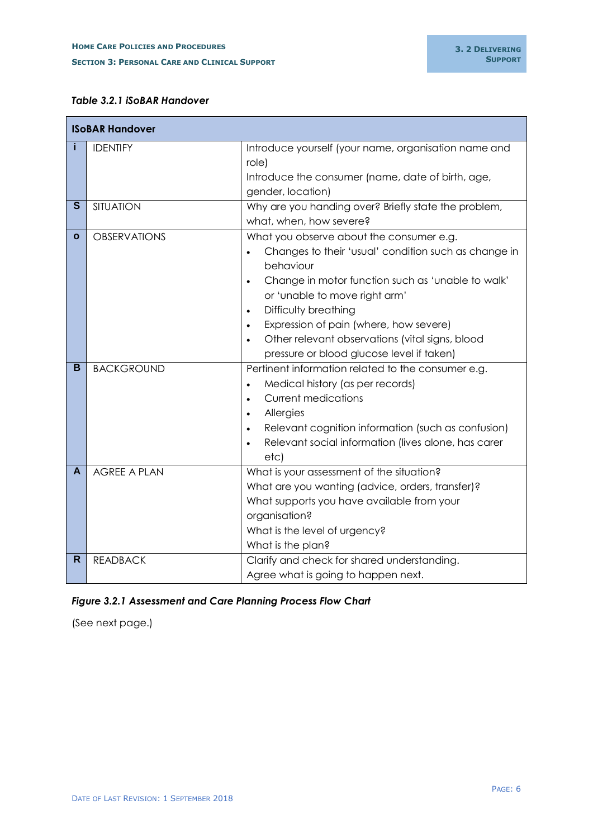## *Table 3.2.1 iSoBAR Handover*

| <b>ISOBAR Handover</b> |                     |                                                                                                                                                                                                                                                                                                                                                                                                                           |  |  |
|------------------------|---------------------|---------------------------------------------------------------------------------------------------------------------------------------------------------------------------------------------------------------------------------------------------------------------------------------------------------------------------------------------------------------------------------------------------------------------------|--|--|
|                        | <b>IDENTIFY</b>     | Introduce yourself (your name, organisation name and<br>role)<br>Introduce the consumer (name, date of birth, age,<br>gender, location)                                                                                                                                                                                                                                                                                   |  |  |
| S                      | <b>SITUATION</b>    | Why are you handing over? Briefly state the problem,<br>what, when, how severe?                                                                                                                                                                                                                                                                                                                                           |  |  |
| $\mathbf{o}$           | <b>OBSERVATIONS</b> | What you observe about the consumer e.g.<br>Changes to their 'usual' condition such as change in<br>behaviour<br>Change in motor function such as 'unable to walk'<br>$\bullet$<br>or 'unable to move right arm'<br>Difficulty breathing<br>$\bullet$<br>Expression of pain (where, how severe)<br>$\bullet$<br>Other relevant observations (vital signs, blood<br>$\bullet$<br>pressure or blood glucose level if taken) |  |  |
| в                      | <b>BACKGROUND</b>   | Pertinent information related to the consumer e.g.<br>Medical history (as per records)<br>$\bullet$<br><b>Current medications</b><br>$\bullet$<br>Allergies<br>$\bullet$<br>Relevant cognition information (such as confusion)<br>$\bullet$<br>Relevant social information (lives alone, has carer<br>etc)                                                                                                                |  |  |
| A                      | <b>AGREE A PLAN</b> | What is your assessment of the situation?<br>What are you wanting (advice, orders, transfer)?<br>What supports you have available from your<br>organisation?<br>What is the level of urgency?<br>What is the plan?                                                                                                                                                                                                        |  |  |
| R                      | <b>READBACK</b>     | Clarify and check for shared understanding.<br>Agree what is going to happen next.                                                                                                                                                                                                                                                                                                                                        |  |  |

## *Figure 3.2.1 Assessment and Care Planning Process Flow Chart*

(See next page.)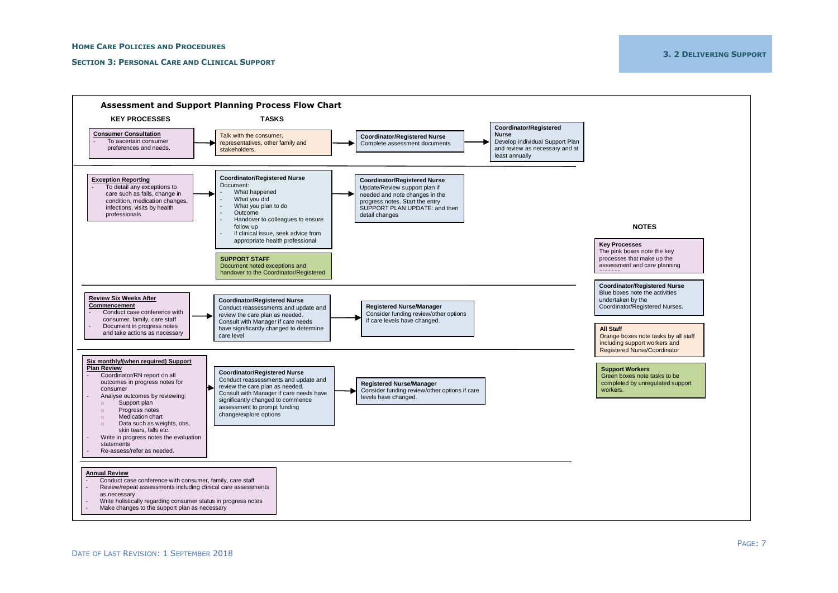#### **SECTION 3: PERSONAL CARE AND CLINICAL SUPPORT**

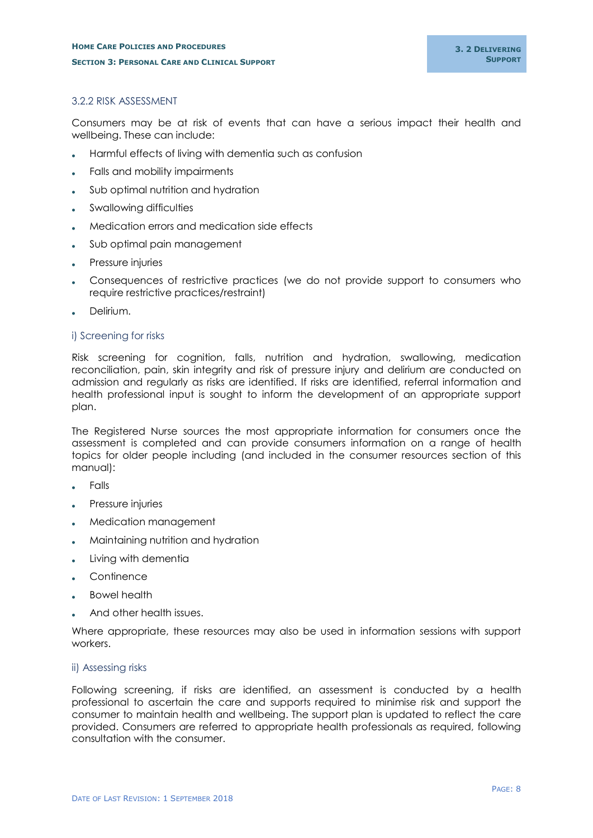## <span id="page-9-0"></span>3.2.2 RISK ASSESSMENT

Consumers may be at risk of events that can have a serious impact their health and wellbeing. These can include:

- Harmful effects of living with dementia such as confusion
- Falls and mobility impairments
- Sub optimal nutrition and hydration
- Swallowing difficulties
- Medication errors and medication side effects
- Sub optimal pain management
- Pressure injuries
- Consequences of restrictive practices (we do not provide support to consumers who require restrictive practices/restraint)
- Delirium.

## <span id="page-9-1"></span>i) Screening for risks

Risk screening for cognition, falls, nutrition and hydration, swallowing, medication reconciliation, pain, skin integrity and risk of pressure injury and delirium are conducted on admission and regularly as risks are identified. If risks are identified, referral information and health professional input is sought to inform the development of an appropriate support plan.

The Registered Nurse sources the most appropriate information for consumers once the assessment is completed and can provide consumers information on a range of health topics for older people including (and included in the consumer resources section of this manual):

- Falls
- Pressure injuries
- Medication management
- Maintaining nutrition and hydration
- Living with dementia
- **Continence**
- Bowel health
- And other health issues.

Where appropriate, these resources may also be used in information sessions with support workers.

#### <span id="page-9-2"></span>ii) Assessing risks

Following screening, if risks are identified, an assessment is conducted by a health professional to ascertain the care and supports required to minimise risk and support the consumer to maintain health and wellbeing. The support plan is updated to reflect the care provided. Consumers are referred to appropriate health professionals as required, following consultation with the consumer.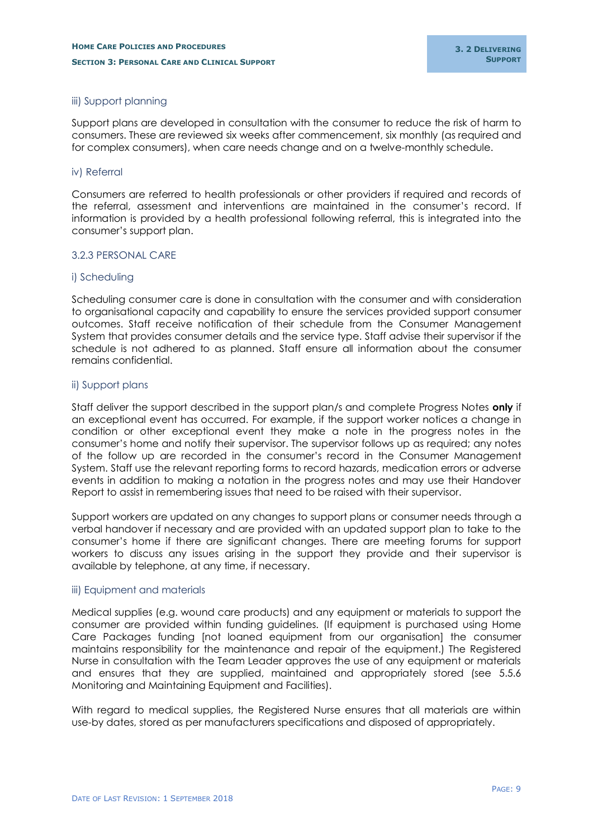## <span id="page-10-0"></span>iii) Support planning

Support plans are developed in consultation with the consumer to reduce the risk of harm to consumers. These are reviewed six weeks after commencement, six monthly (as required and for complex consumers), when care needs change and on a twelve-monthly schedule.

#### <span id="page-10-1"></span>iv) Referral

Consumers are referred to health professionals or other providers if required and records of the referral, assessment and interventions are maintained in the consumer's record. If information is provided by a health professional following referral, this is integrated into the consumer's support plan.

#### <span id="page-10-2"></span>3.2.3 PERSONAL CARE

#### <span id="page-10-3"></span>i) Scheduling

Scheduling consumer care is done in consultation with the consumer and with consideration to organisational capacity and capability to ensure the services provided support consumer outcomes. Staff receive notification of their schedule from the Consumer Management System that provides consumer details and the service type. Staff advise their supervisor if the schedule is not adhered to as planned. Staff ensure all information about the consumer remains confidential.

## <span id="page-10-4"></span>ii) Support plans

Staff deliver the support described in the support plan/s and complete Progress Notes **only** if an exceptional event has occurred. For example, if the support worker notices a change in condition or other exceptional event they make a note in the progress notes in the consumer's home and notify their supervisor. The supervisor follows up as required; any notes of the follow up are recorded in the consumer's record in the Consumer Management System. Staff use the relevant reporting forms to record hazards, medication errors or adverse events in addition to making a notation in the progress notes and may use their Handover Report to assist in remembering issues that need to be raised with their supervisor.

Support workers are updated on any changes to support plans or consumer needs through a verbal handover if necessary and are provided with an updated support plan to take to the consumer's home if there are significant changes. There are meeting forums for support workers to discuss any issues arising in the support they provide and their supervisor is available by telephone, at any time, if necessary.

#### <span id="page-10-5"></span>iii) Equipment and materials

Medical supplies (e.g. wound care products) and any equipment or materials to support the consumer are provided within funding guidelines. (If equipment is purchased using Home Care Packages funding [not loaned equipment from our organisation] the consumer maintains responsibility for the maintenance and repair of the equipment.) The Registered Nurse in consultation with the Team Leader approves the use of any equipment or materials and ensures that they are supplied, maintained and appropriately stored (see 5.5.6 Monitoring and Maintaining Equipment and Facilities).

With regard to medical supplies, the Registered Nurse ensures that all materials are within use-by dates, stored as per manufacturers specifications and disposed of appropriately.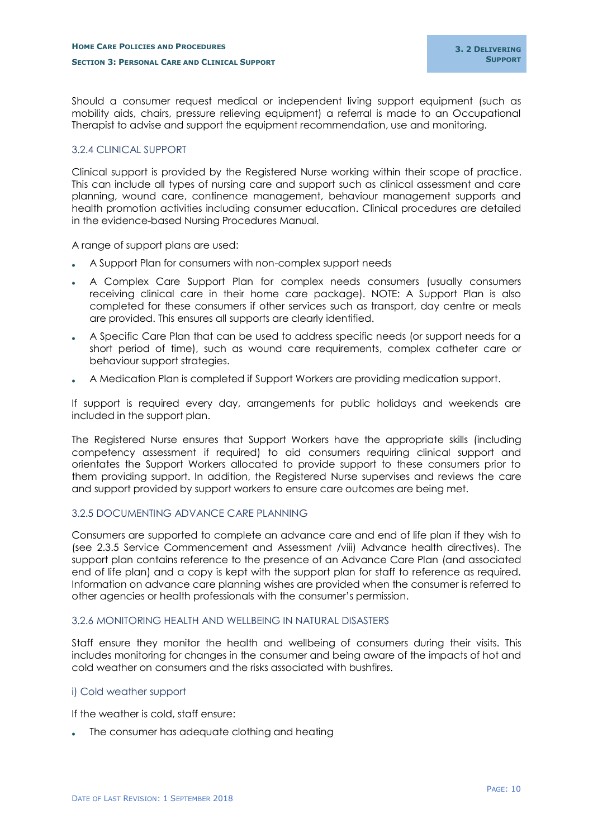Should a consumer request medical or independent living support equipment (such as mobility aids, chairs, pressure relieving equipment) a referral is made to an Occupational Therapist to advise and support the equipment recommendation, use and monitoring.

## <span id="page-11-0"></span>3.2.4 CLINICAL SUPPORT

Clinical support is provided by the Registered Nurse working within their scope of practice. This can include all types of nursing care and support such as clinical assessment and care planning, wound care, continence management, behaviour management supports and health promotion activities including consumer education. Clinical procedures are detailed in the evidence-based Nursing Procedures Manual.

A range of support plans are used:

- A Support Plan for consumers with non-complex support needs
- A Complex Care Support Plan for complex needs consumers (usually consumers receiving clinical care in their home care package). NOTE: A Support Plan is also completed for these consumers if other services such as transport, day centre or meals are provided. This ensures all supports are clearly identified.
- A Specific Care Plan that can be used to address specific needs (or support needs for a short period of time), such as wound care requirements, complex catheter care or behaviour support strategies.
- A Medication Plan is completed if Support Workers are providing medication support.

If support is required every day, arrangements for public holidays and weekends are included in the support plan.

The Registered Nurse ensures that Support Workers have the appropriate skills (including competency assessment if required) to aid consumers requiring clinical support and orientates the Support Workers allocated to provide support to these consumers prior to them providing support. In addition, the Registered Nurse supervises and reviews the care and support provided by support workers to ensure care outcomes are being met.

## <span id="page-11-1"></span>3.2.5 DOCUMENTING ADVANCE CARE PLANNING

Consumers are supported to complete an advance care and end of life plan if they wish to (see 2.3.5 Service Commencement and Assessment /viii) Advance health directives). The support plan contains reference to the presence of an Advance Care Plan (and associated end of life plan) and a copy is kept with the support plan for staff to reference as required. Information on advance care planning wishes are provided when the consumer is referred to other agencies or health professionals with the consumer's permission.

#### <span id="page-11-2"></span>3.2.6 MONITORING HEALTH AND WELLBEING IN NATURAL DISASTERS

Staff ensure they monitor the health and wellbeing of consumers during their visits. This includes monitoring for changes in the consumer and being aware of the impacts of hot and cold weather on consumers and the risks associated with bushfires.

## <span id="page-11-3"></span>i) Cold weather support

If the weather is cold, staff ensure:

. The consumer has adequate clothing and heating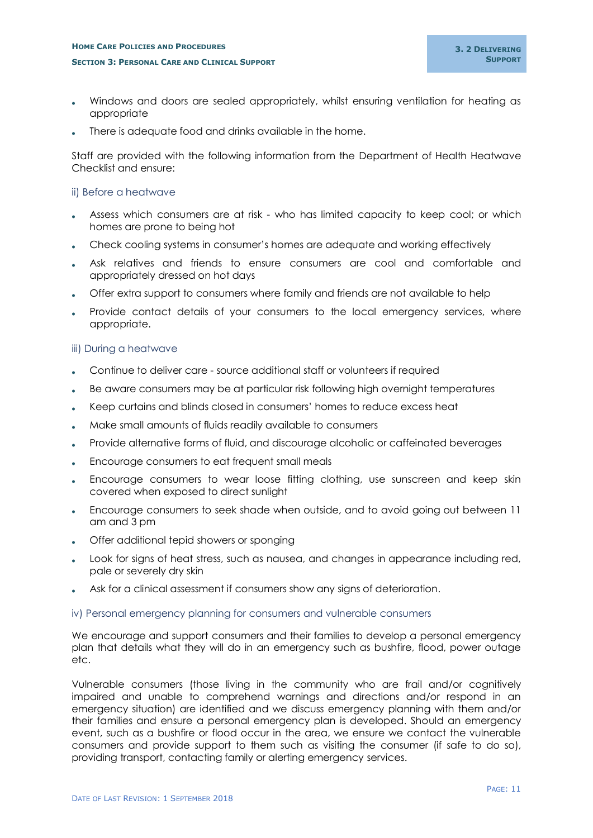- Windows and doors are sealed appropriately, whilst ensuring ventilation for heating as appropriate
- There is adequate food and drinks available in the home.

Staff are provided with the following information from the Department of Health Heatwave Checklist and ensure:

#### <span id="page-12-0"></span>ii) Before a heatwave

- Assess which consumers are at risk who has limited capacity to keep cool; or which homes are prone to being hot
- Check cooling systems in consumer's homes are adequate and working effectively
- Ask relatives and friends to ensure consumers are cool and comfortable and appropriately dressed on hot days
- Offer extra support to consumers where family and friends are not available to help
- Provide contact details of your consumers to the local emergency services, where appropriate.

## <span id="page-12-1"></span>iii) During a heatwave

- Continue to deliver care source additional staff or volunteers if required
- Be aware consumers may be at particular risk following high overnight temperatures
- Keep curtains and blinds closed in consumers' homes to reduce excess heat
- Make small amounts of fluids readily available to consumers
- Provide alternative forms of fluid, and discourage alcoholic or caffeinated beverages
- Encourage consumers to eat frequent small meals
- Encourage consumers to wear loose fitting clothing, use sunscreen and keep skin covered when exposed to direct sunlight
- Encourage consumers to seek shade when outside, and to avoid going out between 11 am and 3 pm
- Offer additional tepid showers or sponging
- Look for signs of heat stress, such as nausea, and changes in appearance including red, pale or severely dry skin
- Ask for a clinical assessment if consumers show any signs of deterioration.

#### <span id="page-12-2"></span>iv) Personal emergency planning for consumers and vulnerable consumers

We encourage and support consumers and their families to develop a personal emergency plan that details what they will do in an emergency such as bushfire, flood, power outage etc.

Vulnerable consumers (those living in the community who are frail and/or cognitively impaired and unable to comprehend warnings and directions and/or respond in an emergency situation) are identified and we discuss emergency planning with them and/or their families and ensure a personal emergency plan is developed. Should an emergency event, such as a bushfire or flood occur in the area, we ensure we contact the vulnerable consumers and provide support to them such as visiting the consumer (if safe to do so), providing transport, contacting family or alerting emergency services.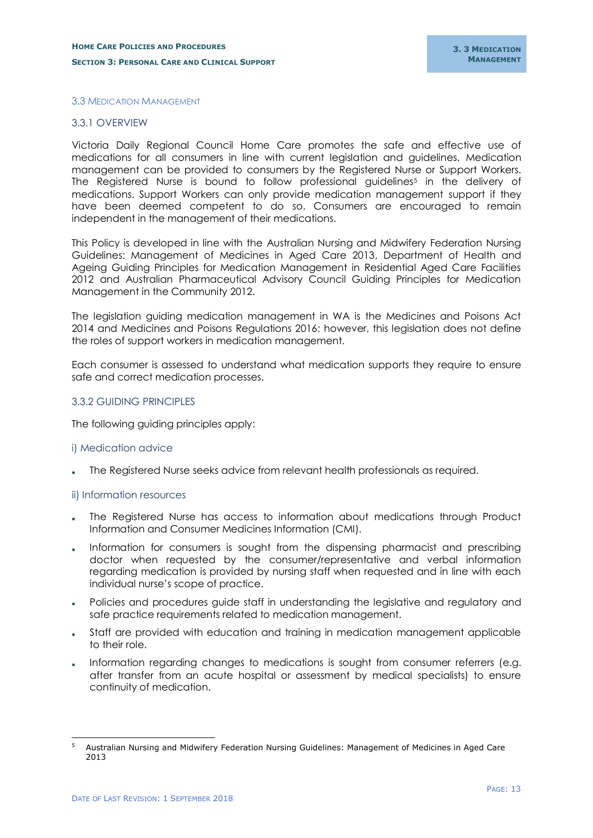#### <span id="page-14-0"></span>3.3 MEDICATION MANAGEMENT

#### <span id="page-14-1"></span>3.3.1 OVERVIEW

Victoria Daily Regional Council Home Care promotes the safe and effective use of medications for all consumers in line with current legislation and guidelines. Medication management can be provided to consumers by the Registered Nurse or Support Workers. The Registered Nurse is bound to follow professional guidelines<sup>5</sup> in the delivery of medications. Support Workers can only provide medication management support if they have been deemed competent to do so. Consumers are encouraged to remain independent in the management of their medications.

This Policy is developed in line with the Australian Nursing and Midwifery Federation Nursing Guidelines: Management of Medicines in Aged Care 2013, Department of Health and Ageing Guiding Principles for Medication Management in Residential Aged Care Facilities 2012 and Australian Pharmaceutical Advisory Council Guiding Principles for Medication Management in the Community 2012.

The legislation guiding medication management in WA is the Medicines and Poisons Act 2014 and Medicines and Poisons Regulations 2016; however, this legislation does not define the roles of support workers in medication management.

Each consumer is assessed to understand what medication supports they require to ensure safe and correct medication processes.

#### <span id="page-14-2"></span>3.3.2 GUIDING PRINCIPLES

The following guiding principles apply:

#### <span id="page-14-3"></span>i) Medication advice

The Registered Nurse seeks advice from relevant health professionals as required.

#### <span id="page-14-4"></span>ii) Information resources

- The Registered Nurse has access to information about medications through Product Information and Consumer Medicines Information (CMI).
- Information for consumers is sought from the dispensing pharmacist and prescribing doctor when requested by the consumer/representative and verbal information regarding medication is provided by nursing staff when requested and in line with each individual nurse's scope of practice.
- Policies and procedures guide staff in understanding the legislative and regulatory and safe practice requirements related to medication management.
- Staff are provided with education and training in medication management applicable to their role.
- Information regarding changes to medications is sought from consumer referrers (e.g. after transfer from an acute hospital or assessment by medical specialists) to ensure continuity of medication.

-

<sup>5</sup> Australian Nursing and Midwifery Federation Nursing Guidelines: Management of Medicines in Aged Care 2013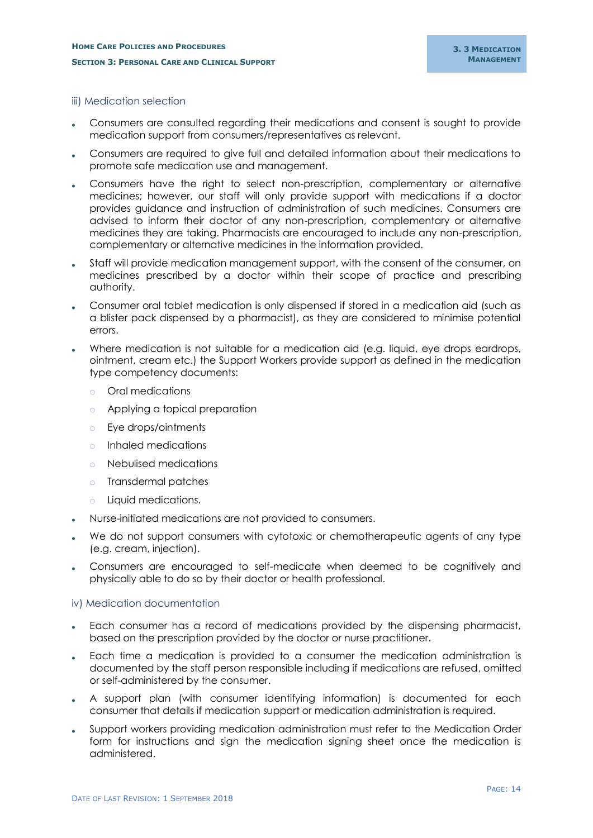#### <span id="page-15-0"></span>iii) Medication selection

- Consumers are consulted regarding their medications and consent is sought to provide medication support from consumers/representatives as relevant.
- Consumers are required to give full and detailed information about their medications to promote safe medication use and management.
- Consumers have the right to select non-prescription, complementary or alternative medicines; however, our staff will only provide support with medications if a doctor provides guidance and instruction of administration of such medicines. Consumers are advised to inform their doctor of any non-prescription, complementary or alternative medicines they are taking. Pharmacists are encouraged to include any non-prescription, complementary or alternative medicines in the information provided.
- Staff will provide medication management support, with the consent of the consumer, on medicines prescribed by a doctor within their scope of practice and prescribing authority.
- Consumer oral tablet medication is only dispensed if stored in a medication aid (such as a blister pack dispensed by a pharmacist), as they are considered to minimise potential errors.
- Where medication is not suitable for a medication aid (e.g. liquid, eye drops eardrops, ointment, cream etc.) the Support Workers provide support as defined in the medication type competency documents:
	- o Oral medications
	- o Applying a topical preparation
	- o Eye drops/ointments
	- o Inhaled medications
	- o Nebulised medications
	- o Transdermal patches
	- o Liquid medications.
- Nurse-initiated medications are not provided to consumers.
- We do not support consumers with cytotoxic or chemotherapeutic agents of any type (e.g. cream, injection).
- Consumers are encouraged to self-medicate when deemed to be cognitively and physically able to do so by their doctor or health professional.

#### <span id="page-15-1"></span>iv) Medication documentation

- Each consumer has a record of medications provided by the dispensing pharmacist, based on the prescription provided by the doctor or nurse practitioner.
- Each time a medication is provided to a consumer the medication administration is documented by the staff person responsible including if medications are refused, omitted or self-administered by the consumer.
- A support plan (with consumer identifying information) is documented for each consumer that details if medication support or medication administration is required.
- Support workers providing medication administration must refer to the Medication Order form for instructions and sign the medication signing sheet once the medication is administered.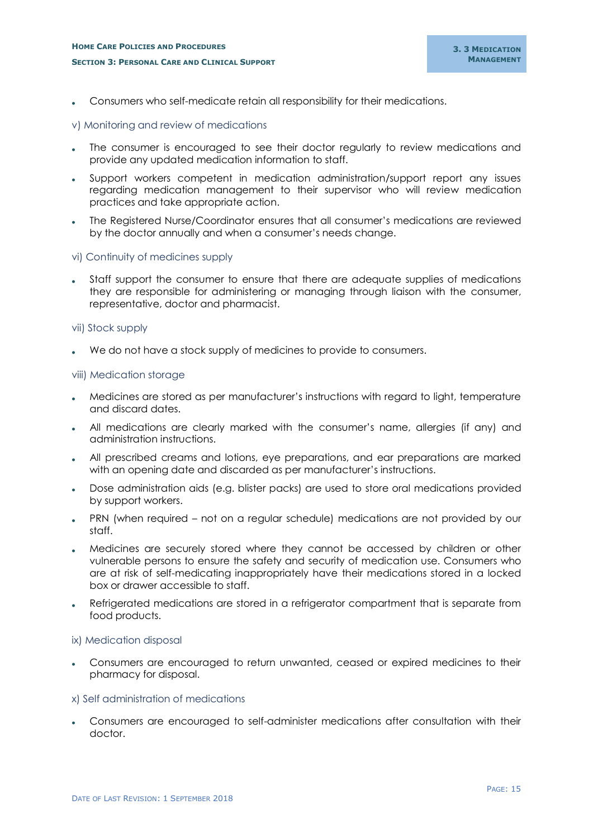## **HOME CARE POLICIES AND PROCEDURES SECTION 3: PERSONAL CARE AND CLINICAL SUPPORT**

Consumers who self-medicate retain all responsibility for their medications.

## <span id="page-16-0"></span>v) Monitoring and review of medications

- The consumer is encouraged to see their doctor regularly to review medications and provide any updated medication information to staff.
- Support workers competent in medication administration/support report any issues regarding medication management to their supervisor who will review medication practices and take appropriate action.
- The Registered Nurse/Coordinator ensures that all consumer's medications are reviewed by the doctor annually and when a consumer's needs change.

## <span id="page-16-1"></span>vi) Continuity of medicines supply

 Staff support the consumer to ensure that there are adequate supplies of medications they are responsible for administering or managing through liaison with the consumer, representative, doctor and pharmacist.

#### <span id="page-16-2"></span>vii) Stock supply

We do not have a stock supply of medicines to provide to consumers.

#### <span id="page-16-3"></span>viii) Medication storage

- Medicines are stored as per manufacturer's instructions with regard to light, temperature and discard dates.
- All medications are clearly marked with the consumer's name, allergies (if any) and administration instructions.
- All prescribed creams and lotions, eye preparations, and ear preparations are marked with an opening date and discarded as per manufacturer's instructions.
- Dose administration aids (e.g. blister packs) are used to store oral medications provided by support workers.
- PRN (when required not on a regular schedule) medications are not provided by our staff.
- Medicines are securely stored where they cannot be accessed by children or other vulnerable persons to ensure the safety and security of medication use. Consumers who are at risk of self-medicating inappropriately have their medications stored in a locked box or drawer accessible to staff.
- Refrigerated medications are stored in a refrigerator compartment that is separate from food products.

#### <span id="page-16-4"></span>ix) Medication disposal

 Consumers are encouraged to return unwanted, ceased or expired medicines to their pharmacy for disposal.

#### <span id="page-16-5"></span>x) Self administration of medications

 Consumers are encouraged to self-administer medications after consultation with their doctor.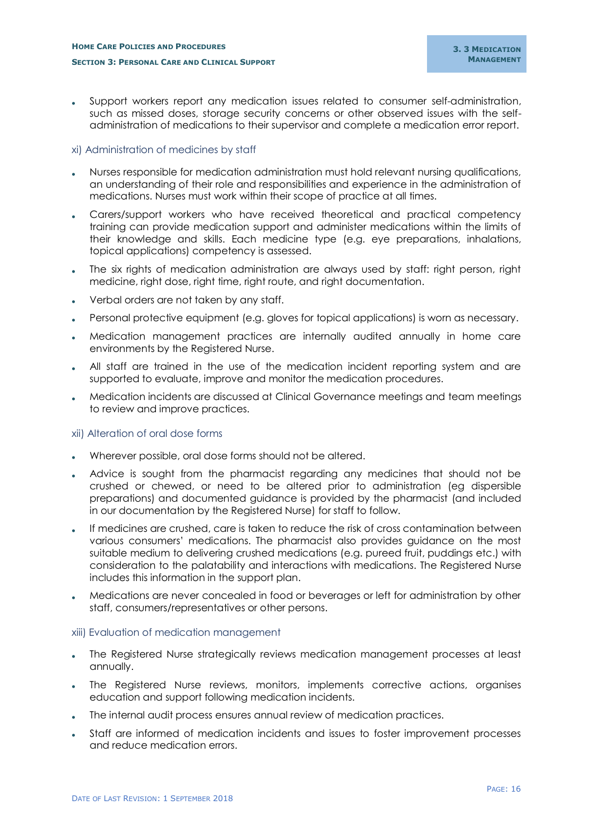Support workers report any medication issues related to consumer self-administration, such as missed doses, storage security concerns or other observed issues with the selfadministration of medications to their supervisor and complete a medication error report.

## <span id="page-17-0"></span>xi) Administration of medicines by staff

- Nurses responsible for medication administration must hold relevant nursing qualifications, an understanding of their role and responsibilities and experience in the administration of medications. Nurses must work within their scope of practice at all times.
- Carers/support workers who have received theoretical and practical competency training can provide medication support and administer medications within the limits of their knowledge and skills. Each medicine type (e.g. eye preparations, inhalations, topical applications) competency is assessed.
- The six rights of medication administration are always used by staff: right person, right medicine, right dose, right time, right route, and right documentation.
- Verbal orders are not taken by any staff.
- Personal protective equipment (e.g. gloves for topical applications) is worn as necessary.
- Medication management practices are internally audited annually in home care environments by the Registered Nurse.
- All staff are trained in the use of the medication incident reporting system and are supported to evaluate, improve and monitor the medication procedures.
- Medication incidents are discussed at Clinical Governance meetings and team meetings to review and improve practices.

## <span id="page-17-1"></span>xii) Alteration of oral dose forms

- Wherever possible, oral dose forms should not be altered.
- Advice is sought from the pharmacist regarding any medicines that should not be crushed or chewed, or need to be altered prior to administration (eg dispersible preparations) and documented guidance is provided by the pharmacist (and included in our documentation by the Registered Nurse) for staff to follow.
- If medicines are crushed, care is taken to reduce the risk of cross contamination between various consumers' medications. The pharmacist also provides guidance on the most suitable medium to delivering crushed medications (e.g. pureed fruit, puddings etc.) with consideration to the palatability and interactions with medications. The Registered Nurse includes this information in the support plan.
- Medications are never concealed in food or beverages or left for administration by other staff, consumers/representatives or other persons.

#### <span id="page-17-2"></span>xiii) Evaluation of medication management

- The Registered Nurse strategically reviews medication management processes at least annually.
- The Registered Nurse reviews, monitors, implements corrective actions, organises education and support following medication incidents.
- The internal audit process ensures annual review of medication practices.
- Staff are informed of medication incidents and issues to foster improvement processes and reduce medication errors.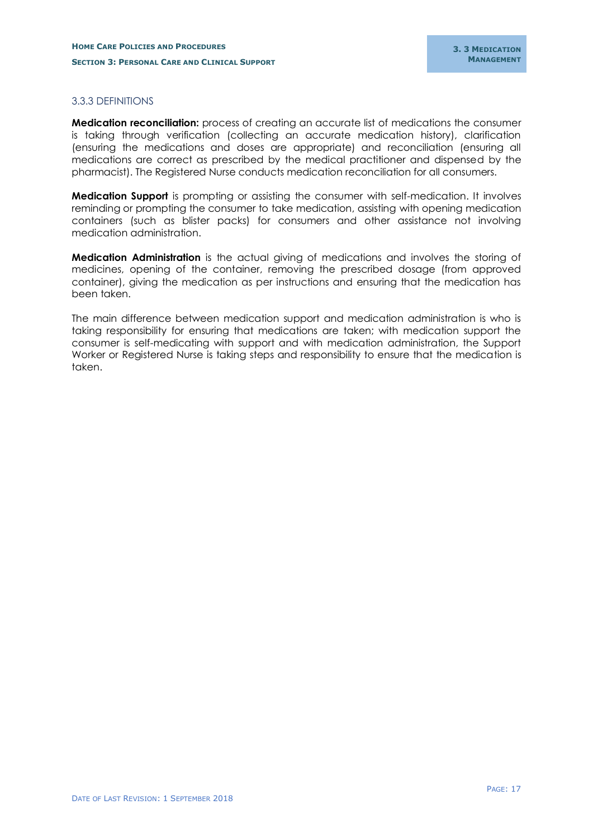## <span id="page-18-0"></span>3.3.3 DEFINITIONS

**Medication reconciliation:** process of creating an accurate list of medications the consumer is taking through verification (collecting an accurate medication history), clarification (ensuring the medications and doses are appropriate) and reconciliation (ensuring all medications are correct as prescribed by the medical practitioner and dispensed by the pharmacist). The Registered Nurse conducts medication reconciliation for all consumers.

**Medication Support** is prompting or assisting the consumer with self-medication. It involves reminding or prompting the consumer to take medication, assisting with opening medication containers (such as blister packs) for consumers and other assistance not involving medication administration.

**Medication Administration** is the actual giving of medications and involves the storing of medicines, opening of the container, removing the prescribed dosage (from approved container), giving the medication as per instructions and ensuring that the medication has been taken.

The main difference between medication support and medication administration is who is taking responsibility for ensuring that medications are taken; with medication support the consumer is self-medicating with support and with medication administration, the Support Worker or Registered Nurse is taking steps and responsibility to ensure that the medication is taken.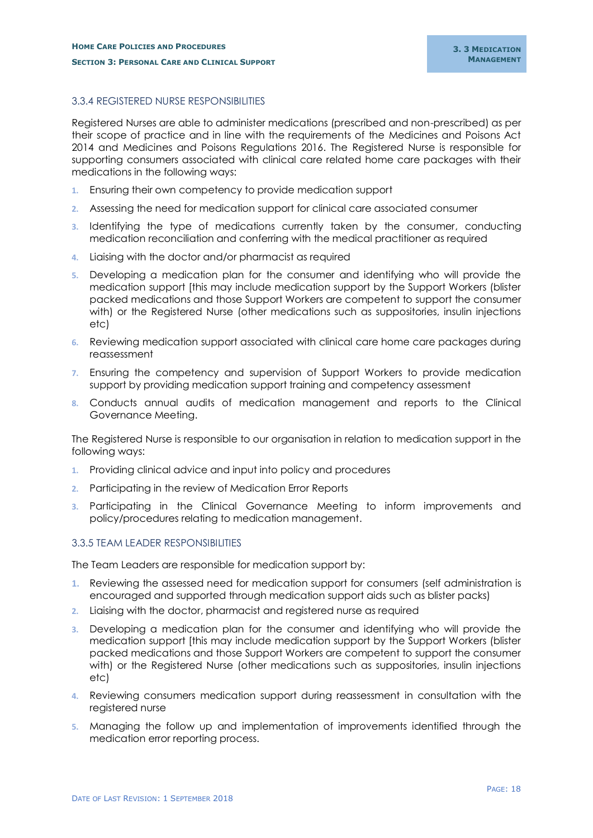## <span id="page-19-0"></span>3.3.4 REGISTERED NURSE RESPONSIBILITIES

Registered Nurses are able to administer medications (prescribed and non-prescribed) as per their scope of practice and in line with the requirements of the Medicines and Poisons Act 2014 and Medicines and Poisons Regulations 2016. The Registered Nurse is responsible for supporting consumers associated with clinical care related home care packages with their medications in the following ways:

- **1.** Ensuring their own competency to provide medication support
- **2.** Assessing the need for medication support for clinical care associated consumer
- **3.** Identifying the type of medications currently taken by the consumer, conducting medication reconciliation and conferring with the medical practitioner as required
- **4.** Liaising with the doctor and/or pharmacist as required
- **5.** Developing a medication plan for the consumer and identifying who will provide the medication support [this may include medication support by the Support Workers (blister packed medications and those Support Workers are competent to support the consumer with) or the Registered Nurse (other medications such as suppositories, insulin injections etc)
- **6.** Reviewing medication support associated with clinical care home care packages during reassessment
- **7.** Ensuring the competency and supervision of Support Workers to provide medication support by providing medication support training and competency assessment
- **8.** Conducts annual audits of medication management and reports to the Clinical Governance Meeting.

The Registered Nurse is responsible to our organisation in relation to medication support in the following ways:

- **1.** Providing clinical advice and input into policy and procedures
- **2.** Participating in the review of Medication Error Reports
- **3.** Participating in the Clinical Governance Meeting to inform improvements and policy/procedures relating to medication management.

## <span id="page-19-1"></span>3.3.5 TEAM LEADER RESPONSIBILITIES

The Team Leaders are responsible for medication support by:

- **1.** Reviewing the assessed need for medication support for consumers (self administration is encouraged and supported through medication support aids such as blister packs)
- **2.** Liaising with the doctor, pharmacist and registered nurse as required
- **3.** Developing a medication plan for the consumer and identifying who will provide the medication support [this may include medication support by the Support Workers (blister packed medications and those Support Workers are competent to support the consumer with) or the Registered Nurse (other medications such as suppositories, insulin injections etc)
- **4.** Reviewing consumers medication support during reassessment in consultation with the registered nurse
- **5.** Managing the follow up and implementation of improvements identified through the medication error reporting process.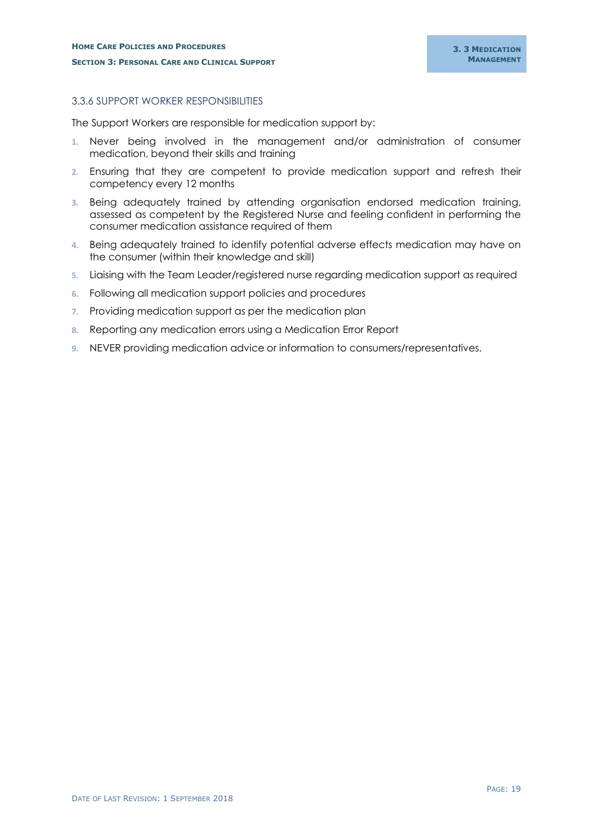## <span id="page-20-0"></span>3.3.6 SUPPORT WORKER RESPONSIBILITIES

The Support Workers are responsible for medication support by:

- **1.** Never being involved in the management and/or administration of consumer medication, beyond their skills and training
- **2.** Ensuring that they are competent to provide medication support and refresh their competency every 12 months
- **3.** Being adequately trained by attending organisation endorsed medication training, assessed as competent by the Registered Nurse and feeling confident in performing the consumer medication assistance required of them
- **4.** Being adequately trained to identify potential adverse effects medication may have on the consumer (within their knowledge and skill)
- **5.** Liaising with the Team Leader/registered nurse regarding medication support as required
- **6.** Following all medication support policies and procedures
- **7.** Providing medication support as per the medication plan
- **8.** Reporting any medication errors using a Medication Error Report
- **9.** NEVER providing medication advice or information to consumers/representatives.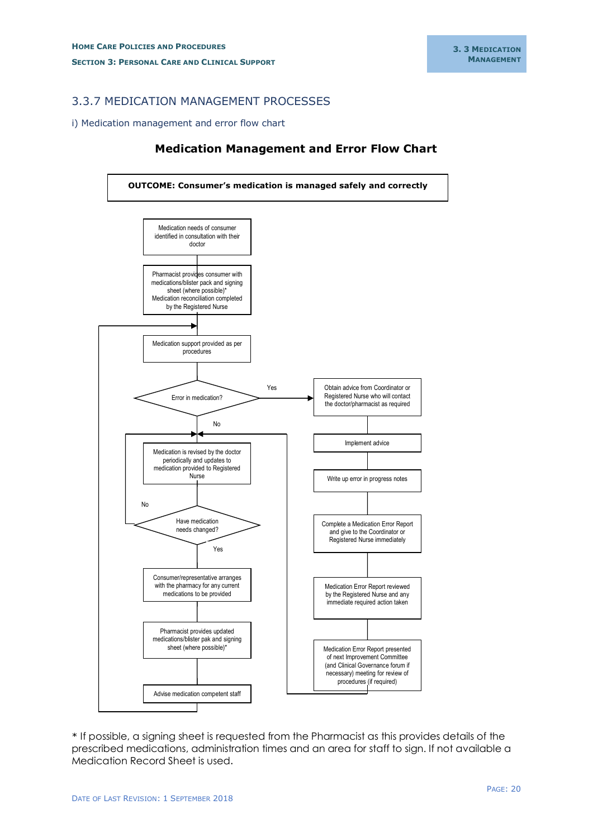## <span id="page-21-0"></span>3.3.7 MEDICATION MANAGEMENT PROCESSES

#### <span id="page-21-1"></span>i) Medication management and error flow chart

## **Medication Management and Error Flow Chart**



\* If possible, a signing sheet is requested from the Pharmacist as this provides details of the prescribed medications, administration times and an area for staff to sign. If not available a Medication Record Sheet is used.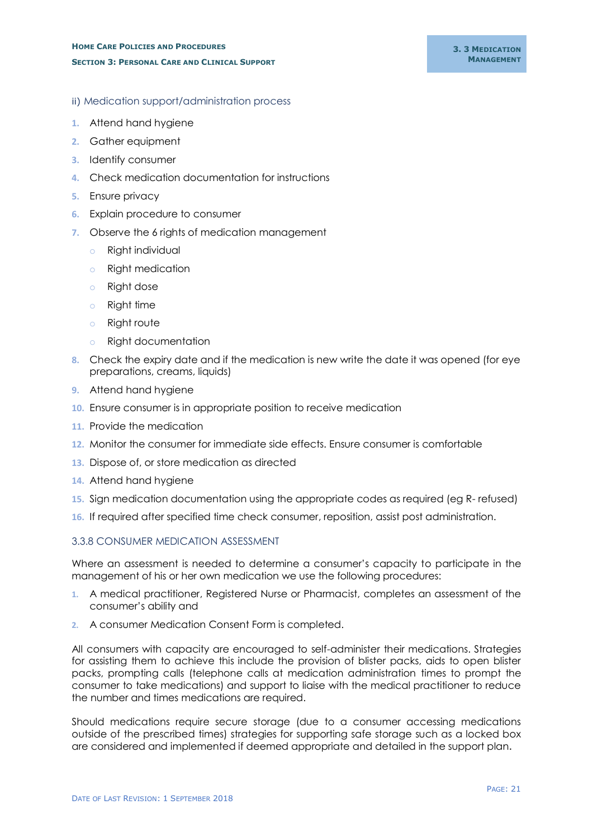## <span id="page-22-0"></span>ii) Medication support/administration process

- **1.** Attend hand hygiene
- **2.** Gather equipment
- **3.** Identify consumer
- **4.** Check medication documentation for instructions
- **5.** Ensure privacy
- **6.** Explain procedure to consumer
- **7.** Observe the 6 rights of medication management
	- o Right individual
	- o Right medication
	- o Right dose
	- o Right time
	- o Right route
	- o Right documentation
- **8.** Check the expiry date and if the medication is new write the date it was opened (for eye preparations, creams, liquids)
- **9.** Attend hand hygiene
- **10.** Ensure consumer is in appropriate position to receive medication
- **11.** Provide the medication
- **12.** Monitor the consumer for immediate side effects. Ensure consumer is comfortable
- **13.** Dispose of, or store medication as directed
- **14.** Attend hand hygiene
- **15.** Sign medication documentation using the appropriate codes as required (eg R- refused)
- **16.** If required after specified time check consumer, reposition, assist post administration.

## <span id="page-22-1"></span>3.3.8 CONSUMER MEDICATION ASSESSMENT

Where an assessment is needed to determine a consumer's capacity to participate in the management of his or her own medication we use the following procedures:

- **1.** A medical practitioner, Registered Nurse or Pharmacist, completes an assessment of the consumer's ability and
- **2.** A consumer Medication Consent Form is completed.

All consumers with capacity are encouraged to self-administer their medications. Strategies for assisting them to achieve this include the provision of blister packs, aids to open blister packs, prompting calls (telephone calls at medication administration times to prompt the consumer to take medications) and support to liaise with the medical practitioner to reduce the number and times medications are required.

Should medications require secure storage (due to a consumer accessing medications outside of the prescribed times) strategies for supporting safe storage such as a locked box are considered and implemented if deemed appropriate and detailed in the support plan.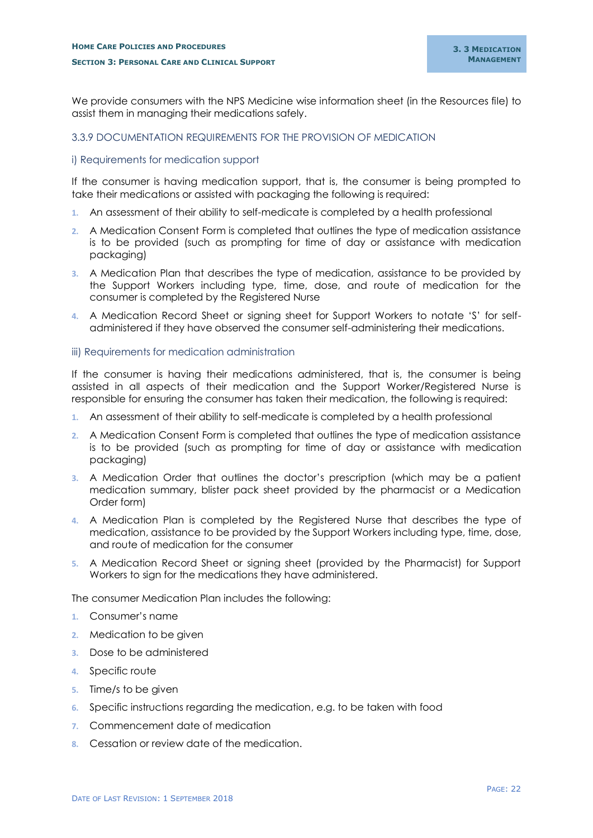We provide consumers with the NPS Medicine wise information sheet (in the Resources file) to assist them in managing their medications safely.

## <span id="page-23-0"></span>3.3.9 DOCUMENTATION REQUIREMENTS FOR THE PROVISION OF MEDICATION

#### <span id="page-23-1"></span>i) Requirements for medication support

If the consumer is having medication support, that is, the consumer is being prompted to take their medications or assisted with packaging the following is required:

- **1.** An assessment of their ability to self-medicate is completed by a health professional
- **2.** A Medication Consent Form is completed that outlines the type of medication assistance is to be provided (such as prompting for time of day or assistance with medication packaging)
- **3.** A Medication Plan that describes the type of medication, assistance to be provided by the Support Workers including type, time, dose, and route of medication for the consumer is completed by the Registered Nurse
- **4.** A Medication Record Sheet or signing sheet for Support Workers to notate 'S' for selfadministered if they have observed the consumer self-administering their medications.

#### <span id="page-23-2"></span>iii) Requirements for medication administration

If the consumer is having their medications administered, that is, the consumer is being assisted in all aspects of their medication and the Support Worker/Registered Nurse is responsible for ensuring the consumer has taken their medication, the following is required:

- **1.** An assessment of their ability to self-medicate is completed by a health professional
- **2.** A Medication Consent Form is completed that outlines the type of medication assistance is to be provided (such as prompting for time of day or assistance with medication packaging)
- **3.** A Medication Order that outlines the doctor's prescription (which may be a patient medication summary, blister pack sheet provided by the pharmacist or a Medication Order form)
- **4.** A Medication Plan is completed by the Registered Nurse that describes the type of medication, assistance to be provided by the Support Workers including type, time, dose, and route of medication for the consumer
- **5.** A Medication Record Sheet or signing sheet (provided by the Pharmacist) for Support Workers to sign for the medications they have administered.

The consumer Medication Plan includes the following:

- **1.** Consumer's name
- **2.** Medication to be given
- **3.** Dose to be administered
- **4.** Specific route
- **5.** Time/s to be given
- **6.** Specific instructions regarding the medication, e.g. to be taken with food
- **7.** Commencement date of medication
- **8.** Cessation or review date of the medication.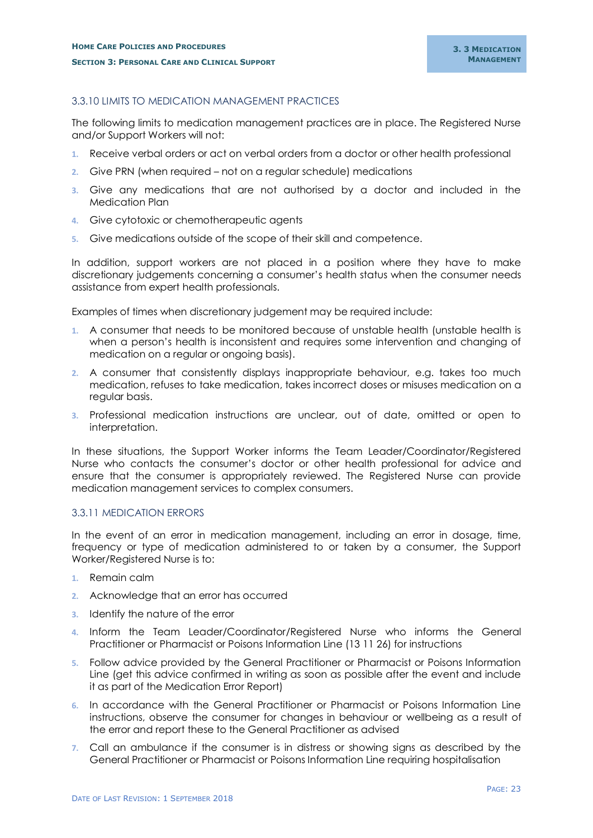## <span id="page-24-0"></span>3.3.10 LIMITS TO MEDICATION MANAGEMENT PRACTICES

The following limits to medication management practices are in place. The Registered Nurse and/or Support Workers will not:

- **1.** Receive verbal orders or act on verbal orders from a doctor or other health professional
- **2.** Give PRN (when required not on a regular schedule) medications
- **3.** Give any medications that are not authorised by a doctor and included in the Medication Plan
- **4.** Give cytotoxic or chemotherapeutic agents
- **5.** Give medications outside of the scope of their skill and competence.

In addition, support workers are not placed in a position where they have to make discretionary judgements concerning a consumer's health status when the consumer needs assistance from expert health professionals.

Examples of times when discretionary judgement may be required include:

- **1.** A consumer that needs to be monitored because of unstable health (unstable health is when a person's health is inconsistent and requires some intervention and changing of medication on a regular or ongoing basis).
- **2.** A consumer that consistently displays inappropriate behaviour, e.g. takes too much medication, refuses to take medication, takes incorrect doses or misuses medication on a regular basis.
- **3.** Professional medication instructions are unclear, out of date, omitted or open to interpretation.

In these situations, the Support Worker informs the Team Leader/Coordinator/Registered Nurse who contacts the consumer's doctor or other health professional for advice and ensure that the consumer is appropriately reviewed. The Registered Nurse can provide medication management services to complex consumers.

#### <span id="page-24-1"></span>3.3.11 MEDICATION ERRORS

In the event of an error in medication management, including an error in dosage, time, frequency or type of medication administered to or taken by a consumer, the Support Worker/Registered Nurse is to:

- **1.** Remain calm
- **2.** Acknowledge that an error has occurred
- **3.** Identify the nature of the error
- **4.** Inform the Team Leader/Coordinator/Registered Nurse who informs the General Practitioner or Pharmacist or Poisons Information Line (13 11 26) for instructions
- **5.** Follow advice provided by the General Practitioner or Pharmacist or Poisons Information Line (get this advice confirmed in writing as soon as possible after the event and include it as part of the Medication Error Report)
- **6.** In accordance with the General Practitioner or Pharmacist or Poisons Information Line instructions, observe the consumer for changes in behaviour or wellbeing as a result of the error and report these to the General Practitioner as advised
- **7.** Call an ambulance if the consumer is in distress or showing signs as described by the General Practitioner or Pharmacist or Poisons Information Line requiring hospitalisation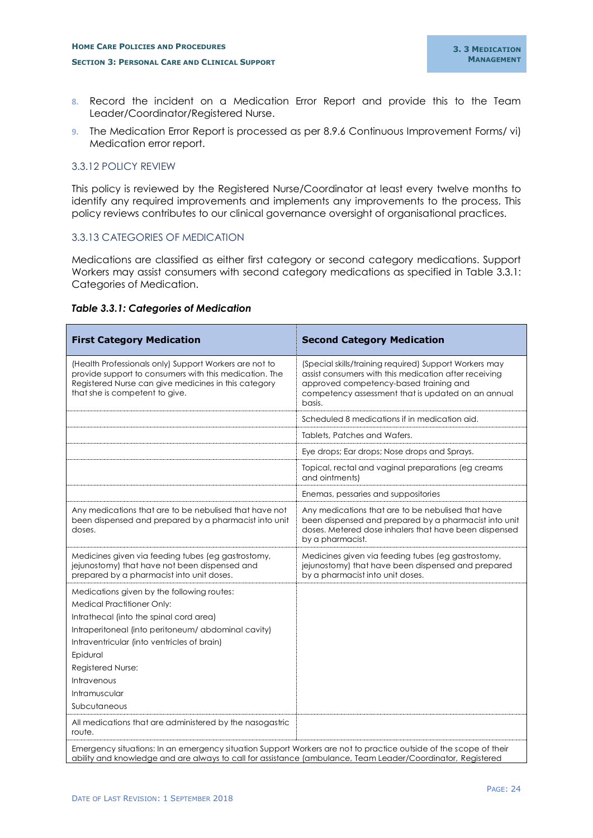- **8.** Record the incident on a Medication Error Report and provide this to the Team Leader/Coordinator/Registered Nurse.
- **9.** The Medication Error Report is processed as per 8.9.6 Continuous Improvement Forms/ vi) Medication error report.

## <span id="page-25-0"></span>3.3.12 POLICY REVIEW

This policy is reviewed by the Registered Nurse/Coordinator at least every twelve months to identify any required improvements and implements any improvements to the process. This policy reviews contributes to our clinical governance oversight of organisational practices.

## <span id="page-25-1"></span>3.3.13 CATEGORIES OF MEDICATION

Medications are classified as either first category or second category medications. Support Workers may assist consumers with second category medications as specified in Table 3.3.1: Categories of Medication.

#### *Table 3.3.1: Categories of Medication*

| <b>First Category Medication</b>                                                                                                                                                                                                                                                                                  | <b>Second Category Medication</b>                                                                                                                                                                                         |  |  |  |
|-------------------------------------------------------------------------------------------------------------------------------------------------------------------------------------------------------------------------------------------------------------------------------------------------------------------|---------------------------------------------------------------------------------------------------------------------------------------------------------------------------------------------------------------------------|--|--|--|
| (Health Professionals only) Support Workers are not to<br>provide support to consumers with this medication. The<br>Registered Nurse can give medicines in this category<br>that she is competent to give.                                                                                                        | (Special skills/training required) Support Workers may<br>assist consumers with this medication after receiving<br>approved competency-based training and<br>competency assessment that is updated on an annual<br>basis. |  |  |  |
|                                                                                                                                                                                                                                                                                                                   | Scheduled 8 medications if in medication aid.                                                                                                                                                                             |  |  |  |
|                                                                                                                                                                                                                                                                                                                   | Tablets, Patches and Wafers.                                                                                                                                                                                              |  |  |  |
|                                                                                                                                                                                                                                                                                                                   | Eye drops; Ear drops; Nose drops and Sprays.                                                                                                                                                                              |  |  |  |
|                                                                                                                                                                                                                                                                                                                   | Topical, rectal and vaginal preparations (eg creams<br>and ointments)                                                                                                                                                     |  |  |  |
|                                                                                                                                                                                                                                                                                                                   | Enemas, pessaries and suppositories                                                                                                                                                                                       |  |  |  |
| Any medications that are to be nebulised that have not<br>been dispensed and prepared by a pharmacist into unit<br>doses.                                                                                                                                                                                         | Any medications that are to be nebulised that have<br>been dispensed and prepared by a pharmacist into unit<br>doses. Metered dose inhalers that have been dispensed<br>by a pharmacist.                                  |  |  |  |
| Medicines given via feeding tubes (eg gastrostomy,<br>jejunostomy) that have not been dispensed and<br>prepared by a pharmacist into unit doses.                                                                                                                                                                  | Medicines given via feeding tubes (eg gastrostomy,<br>jejunostomy) that have been dispensed and prepared<br>by a pharmacist into unit doses.                                                                              |  |  |  |
| Medications given by the following routes:<br><b>Medical Practitioner Only:</b><br>Intrathecal (into the spinal cord area)<br>Intraperitoneal (into peritoneum/ abdominal cavity)<br>Intraventricular (into ventricles of brain)<br>Epidural<br>Registered Nurse:<br>Intravenous<br>Intramuscular<br>Subcutaneous |                                                                                                                                                                                                                           |  |  |  |
| All medications that are administered by the nasogastric<br>route.                                                                                                                                                                                                                                                |                                                                                                                                                                                                                           |  |  |  |
| Emergency situations: In an emergency situation Support Workers are not to practice outside of the scope of their<br>ability and knowledge and are always to call for assistance (ambulance, Team Leader/Coordinator, Registered                                                                                  |                                                                                                                                                                                                                           |  |  |  |